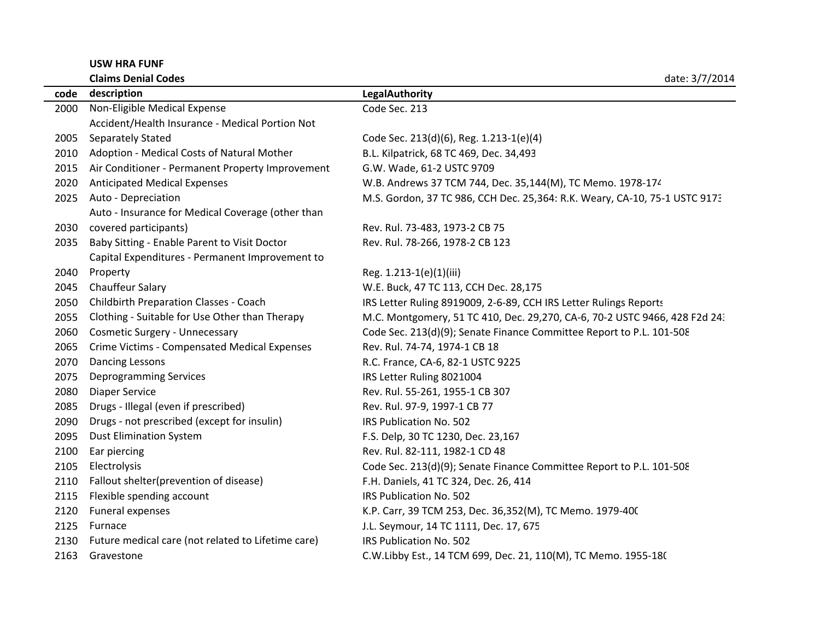**USW HRA FUNF**

|      | <b>Claims Denial Codes</b>                         | date: 3/7/2014                                                             |  |
|------|----------------------------------------------------|----------------------------------------------------------------------------|--|
|      | code description                                   | LegalAuthority                                                             |  |
| 2000 | Non-Eligible Medical Expense                       | Code Sec. 213                                                              |  |
|      | Accident/Health Insurance - Medical Portion Not    |                                                                            |  |
| 2005 | <b>Separately Stated</b>                           | Code Sec. 213(d)(6), Reg. 1.213-1(e)(4)                                    |  |
|      | 2010 Adoption - Medical Costs of Natural Mother    | B.L. Kilpatrick, 68 TC 469, Dec. 34,493                                    |  |
| 2015 | Air Conditioner - Permanent Property Improvement   | G.W. Wade, 61-2 USTC 9709                                                  |  |
| 2020 | <b>Anticipated Medical Expenses</b>                | W.B. Andrews 37 TCM 744, Dec. 35,144(M), TC Memo. 1978-174                 |  |
| 2025 | Auto - Depreciation                                | M.S. Gordon, 37 TC 986, CCH Dec. 25,364: R.K. Weary, CA-10, 75-1 USTC 9173 |  |
|      | Auto - Insurance for Medical Coverage (other than  |                                                                            |  |
| 2030 | covered participants)                              | Rev. Rul. 73-483, 1973-2 CB 75                                             |  |
| 2035 | Baby Sitting - Enable Parent to Visit Doctor       | Rev. Rul. 78-266, 1978-2 CB 123                                            |  |
|      | Capital Expenditures - Permanent Improvement to    |                                                                            |  |
| 2040 | Property                                           | Reg. 1.213-1(e)(1)(iii)                                                    |  |
| 2045 | <b>Chauffeur Salary</b>                            | W.E. Buck, 47 TC 113, CCH Dec. 28,175                                      |  |
| 2050 | <b>Childbirth Preparation Classes - Coach</b>      | IRS Letter Ruling 8919009, 2-6-89, CCH IRS Letter Rulings Reports          |  |
| 2055 | Clothing - Suitable for Use Other than Therapy     | M.C. Montgomery, 51 TC 410, Dec. 29,270, CA-6, 70-2 USTC 9466, 428 F2d 24: |  |
| 2060 | Cosmetic Surgery - Unnecessary                     | Code Sec. 213(d)(9); Senate Finance Committee Report to P.L. 101-508       |  |
| 2065 | Crime Victims - Compensated Medical Expenses       | Rev. Rul. 74-74, 1974-1 CB 18                                              |  |
| 2070 | <b>Dancing Lessons</b>                             | R.C. France, CA-6, 82-1 USTC 9225                                          |  |
| 2075 | <b>Deprogramming Services</b>                      | IRS Letter Ruling 8021004                                                  |  |
| 2080 | <b>Diaper Service</b>                              | Rev. Rul. 55-261, 1955-1 CB 307                                            |  |
| 2085 | Drugs - Illegal (even if prescribed)               | Rev. Rul. 97-9, 1997-1 CB 77                                               |  |
| 2090 | Drugs - not prescribed (except for insulin)        | IRS Publication No. 502                                                    |  |
| 2095 | <b>Dust Elimination System</b>                     | F.S. Delp, 30 TC 1230, Dec. 23,167                                         |  |
| 2100 | Ear piercing                                       | Rev. Rul. 82-111, 1982-1 CD 48                                             |  |
| 2105 | Electrolysis                                       | Code Sec. 213(d)(9); Senate Finance Committee Report to P.L. 101-508       |  |
| 2110 | Fallout shelter(prevention of disease)             | F.H. Daniels, 41 TC 324, Dec. 26, 414                                      |  |
| 2115 | Flexible spending account                          | IRS Publication No. 502                                                    |  |
| 2120 | Funeral expenses                                   | K.P. Carr, 39 TCM 253, Dec. 36,352(M), TC Memo. 1979-400                   |  |
| 2125 | Furnace                                            | J.L. Seymour, 14 TC 1111, Dec. 17, 675                                     |  |
| 2130 | Future medical care (not related to Lifetime care) | IRS Publication No. 502                                                    |  |
| 2163 | Gravestone                                         | C.W.Libby Est., 14 TCM 699, Dec. 21, 110(M), TC Memo. 1955-18(             |  |
|      |                                                    |                                                                            |  |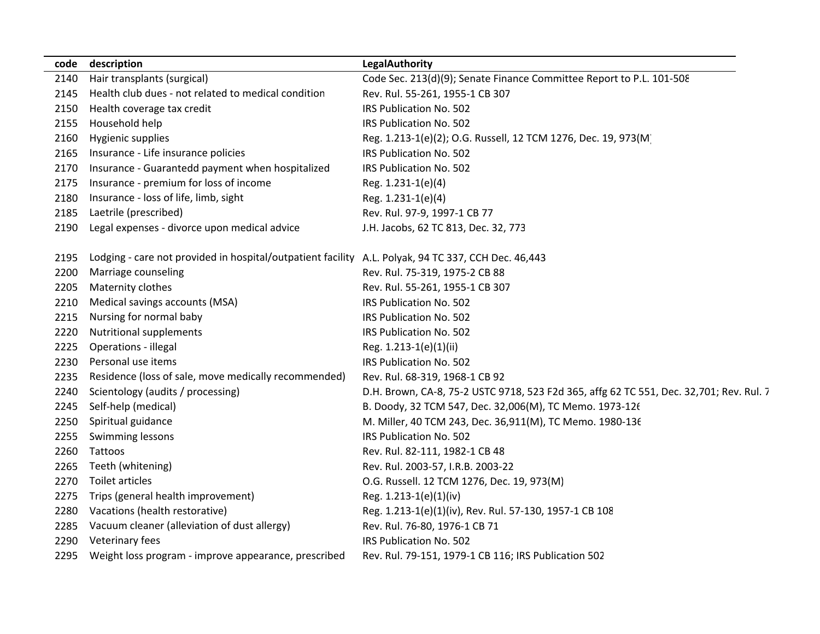| code | description                                                                                         | LegalAuthority                                                                          |
|------|-----------------------------------------------------------------------------------------------------|-----------------------------------------------------------------------------------------|
| 2140 | Hair transplants (surgical)                                                                         | Code Sec. 213(d)(9); Senate Finance Committee Report to P.L. 101-508                    |
| 2145 | Health club dues - not related to medical condition                                                 | Rev. Rul. 55-261, 1955-1 CB 307                                                         |
| 2150 | Health coverage tax credit                                                                          | IRS Publication No. 502                                                                 |
| 2155 | Household help                                                                                      | IRS Publication No. 502                                                                 |
| 2160 | Hygienic supplies                                                                                   | Reg. 1.213-1(e)(2); O.G. Russell, 12 TCM 1276, Dec. 19, 973(M)                          |
| 2165 | Insurance - Life insurance policies                                                                 | IRS Publication No. 502                                                                 |
| 2170 | Insurance - Guarantedd payment when hospitalized                                                    | IRS Publication No. 502                                                                 |
| 2175 | Insurance - premium for loss of income                                                              | Reg. 1.231-1(e)(4)                                                                      |
| 2180 | Insurance - loss of life, limb, sight                                                               | Reg. 1.231-1(e)(4)                                                                      |
| 2185 | Laetrile (prescribed)                                                                               | Rev. Rul. 97-9, 1997-1 CB 77                                                            |
| 2190 | Legal expenses - divorce upon medical advice                                                        | J.H. Jacobs, 62 TC 813, Dec. 32, 773                                                    |
| 2195 | Lodging - care not provided in hospital/outpatient facility A.L. Polyak, 94 TC 337, CCH Dec. 46,443 |                                                                                         |
| 2200 | Marriage counseling                                                                                 | Rev. Rul. 75-319, 1975-2 CB 88                                                          |
| 2205 | Maternity clothes                                                                                   | Rev. Rul. 55-261, 1955-1 CB 307                                                         |
| 2210 | Medical savings accounts (MSA)                                                                      | IRS Publication No. 502                                                                 |
| 2215 | Nursing for normal baby                                                                             | IRS Publication No. 502                                                                 |
| 2220 | <b>Nutritional supplements</b>                                                                      | IRS Publication No. 502                                                                 |
| 2225 | Operations - illegal                                                                                | Reg. 1.213-1(e)(1)(ii)                                                                  |
| 2230 | Personal use items                                                                                  | IRS Publication No. 502                                                                 |
| 2235 | Residence (loss of sale, move medically recommended)                                                | Rev. Rul. 68-319, 1968-1 CB 92                                                          |
| 2240 | Scientology (audits / processing)                                                                   | D.H. Brown, CA-8, 75-2 USTC 9718, 523 F2d 365, affg 62 TC 551, Dec. 32,701; Rev. Rul. 7 |
| 2245 | Self-help (medical)                                                                                 | B. Doody, 32 TCM 547, Dec. 32,006(M), TC Memo. 1973-126                                 |
| 2250 | Spiritual guidance                                                                                  | M. Miller, 40 TCM 243, Dec. 36,911(M), TC Memo. 1980-136                                |
| 2255 | Swimming lessons                                                                                    | IRS Publication No. 502                                                                 |
| 2260 | Tattoos                                                                                             | Rev. Rul. 82-111, 1982-1 CB 48                                                          |
| 2265 | Teeth (whitening)                                                                                   | Rev. Rul. 2003-57, I.R.B. 2003-22                                                       |
| 2270 | Toilet articles                                                                                     | O.G. Russell. 12 TCM 1276, Dec. 19, 973(M)                                              |
| 2275 | Trips (general health improvement)                                                                  | Reg. 1.213-1(e)(1)(iv)                                                                  |
| 2280 | Vacations (health restorative)                                                                      | Reg. 1.213-1(e)(1)(iv), Rev. Rul. 57-130, 1957-1 CB 108                                 |
| 2285 | Vacuum cleaner (alleviation of dust allergy)                                                        | Rev. Rul. 76-80, 1976-1 CB 71                                                           |
| 2290 | Veterinary fees                                                                                     | IRS Publication No. 502                                                                 |
| 2295 | Weight loss program - improve appearance, prescribed                                                | Rev. Rul. 79-151, 1979-1 CB 116; IRS Publication 502                                    |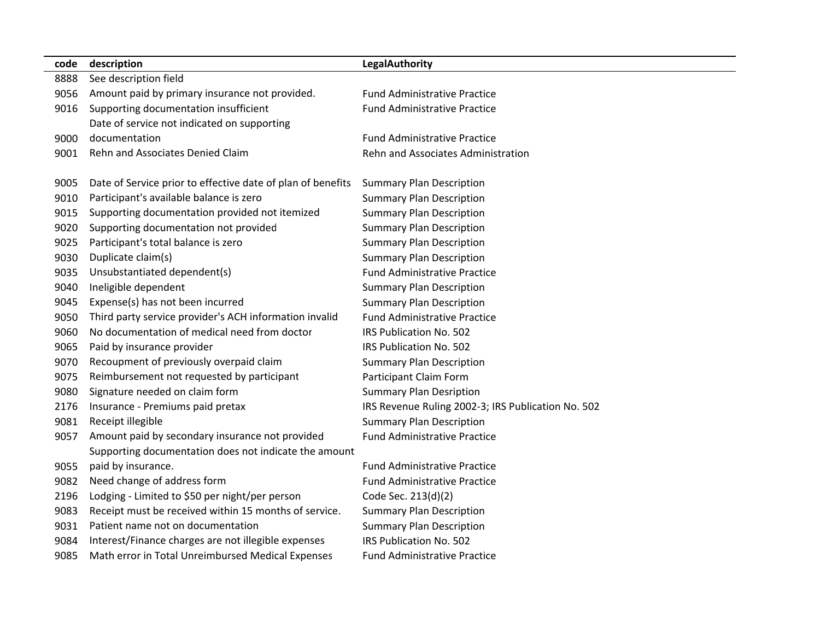| code | description                                                 | <b>LegalAuthority</b>                              |
|------|-------------------------------------------------------------|----------------------------------------------------|
| 8888 | See description field                                       |                                                    |
| 9056 | Amount paid by primary insurance not provided.              | <b>Fund Administrative Practice</b>                |
| 9016 | Supporting documentation insufficient                       | <b>Fund Administrative Practice</b>                |
|      | Date of service not indicated on supporting                 |                                                    |
| 9000 | documentation                                               | <b>Fund Administrative Practice</b>                |
| 9001 | Rehn and Associates Denied Claim                            | Rehn and Associates Administration                 |
|      |                                                             |                                                    |
| 9005 | Date of Service prior to effective date of plan of benefits | <b>Summary Plan Description</b>                    |
| 9010 | Participant's available balance is zero                     | <b>Summary Plan Description</b>                    |
| 9015 | Supporting documentation provided not itemized              | <b>Summary Plan Description</b>                    |
| 9020 | Supporting documentation not provided                       | <b>Summary Plan Description</b>                    |
| 9025 | Participant's total balance is zero                         | <b>Summary Plan Description</b>                    |
| 9030 | Duplicate claim(s)                                          | <b>Summary Plan Description</b>                    |
| 9035 | Unsubstantiated dependent(s)                                | <b>Fund Administrative Practice</b>                |
| 9040 | Ineligible dependent                                        | <b>Summary Plan Description</b>                    |
| 9045 | Expense(s) has not been incurred                            | <b>Summary Plan Description</b>                    |
| 9050 | Third party service provider's ACH information invalid      | <b>Fund Administrative Practice</b>                |
| 9060 | No documentation of medical need from doctor                | IRS Publication No. 502                            |
| 9065 | Paid by insurance provider                                  | IRS Publication No. 502                            |
| 9070 | Recoupment of previously overpaid claim                     | <b>Summary Plan Description</b>                    |
| 9075 | Reimbursement not requested by participant                  | Participant Claim Form                             |
| 9080 | Signature needed on claim form                              | <b>Summary Plan Desription</b>                     |
| 2176 | Insurance - Premiums paid pretax                            | IRS Revenue Ruling 2002-3; IRS Publication No. 502 |
| 9081 | Receipt illegible                                           | <b>Summary Plan Description</b>                    |
| 9057 | Amount paid by secondary insurance not provided             | <b>Fund Administrative Practice</b>                |
|      | Supporting documentation does not indicate the amount       |                                                    |
| 9055 | paid by insurance.                                          | <b>Fund Administrative Practice</b>                |
| 9082 | Need change of address form                                 | <b>Fund Administrative Practice</b>                |
| 2196 | Lodging - Limited to \$50 per night/per person              | Code Sec. 213(d)(2)                                |
| 9083 | Receipt must be received within 15 months of service.       | <b>Summary Plan Description</b>                    |
| 9031 | Patient name not on documentation                           | <b>Summary Plan Description</b>                    |
| 9084 | Interest/Finance charges are not illegible expenses         | IRS Publication No. 502                            |
| 9085 | Math error in Total Unreimbursed Medical Expenses           | <b>Fund Administrative Practice</b>                |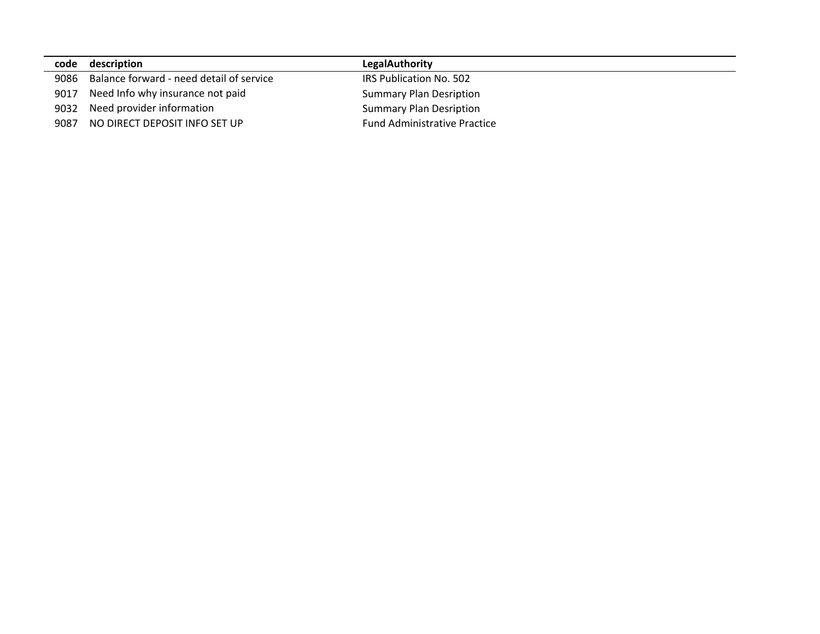| code | description                              | <b>LegalAuthority</b>               |
|------|------------------------------------------|-------------------------------------|
| 9086 | Balance forward - need detail of service | IRS Publication No. 502             |
| 9017 | Need Info why insurance not paid         | <b>Summary Plan Desription</b>      |
| 9032 | Need provider information                | <b>Summary Plan Desription</b>      |
| 9087 | NO DIRECT DEPOSIT INFO SET UP            | <b>Fund Administrative Practice</b> |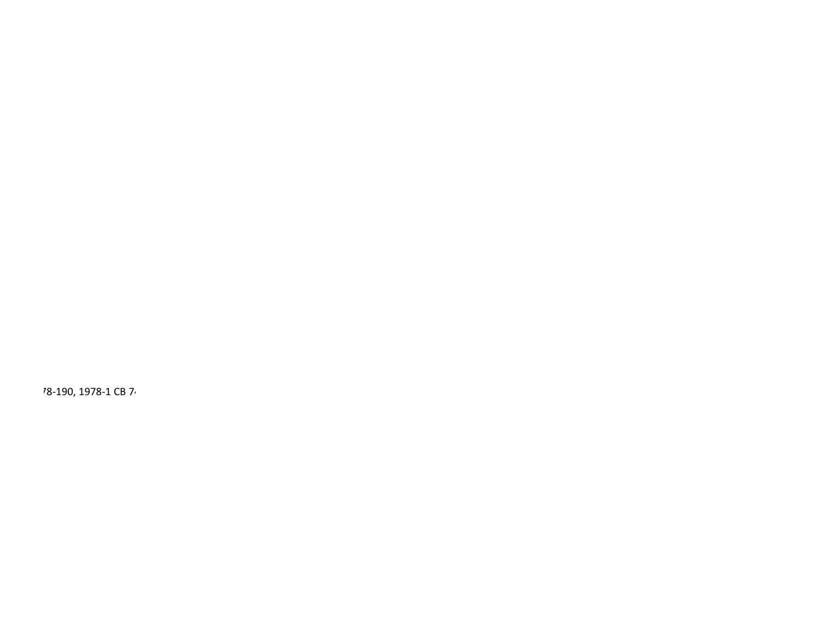78-190, 1978-1 CB 74